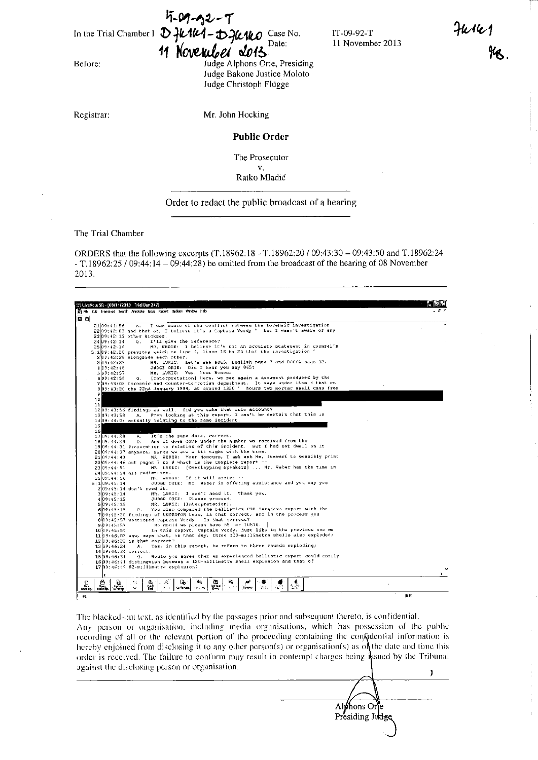$4 - 9 - 92 - 7$ In the Trial Chamber I  $D$   $\mu$ 144 -  $D$   $\mu$ 1610 Case No.

Before:

Registrar:

11 November 2013 Judge Alphons Orie, Presiding Judge Bakone Justice Moloto Judge Christoph Flügge

Date:

IT-09-92-T 11 November 2013

Mr. John Hocking

**Public Order** 

The Prosecutor

 $\mathbf{v}$ . Ratko Mladić

Order to redact the public broadcast of a hearing

The Trial Chamber

ORDERS that the following excerpts (T.18962:18 - T.18962:20 / 09:43:30 - 09:43:50 and T.18962:24  $-$  T, 18962; 25 / 09:44: 14 – 09:44: 28) be omitted from the broadcast of the hearing of 08 November 2013.

LiveNote 5R - [08/11/2013 Trial Day 227] 置雨动 Report Outlant Window Help  $\frac{1}{22|99:42:56}$  A. I was aware of the conflict het ween the focensic investigation<br>22 $|99:42:02$  and that of, I believe it's a Captain Verdy ^ but I wasn't aware of any<br>23 $|99:42:13$  other kickess.<br>28 $|99:42:14$  C. I' @ ⊙ 12<sup>09:43:56</sup> findings as well. Did you take that into account?<br>1309:43:58 A. From looking at this report, I can't be certain that this is<br>1409:44:04 actually relating to the same incident.<br>15 1709:44:28 A, Tt's the same data, correct.<br>1809:44:28 O, And it does come under the number we received from the<br>1909:44:31 Presecution in relation of this incident. But I had not dwell on it<br>2100:44:43 AR. WERER: Your Hono 24  $25 [99;44:56]$ <br>
25  $[99;44:56]$  MR. WEBER: 11 1.5 The is offering associated<br>
25  $[99;45:14]$  don't meed it. The in the solution of the second it.<br>
2009:45:15 JUDGE ORIE: [Indeeproces].<br>
400:5:15 JUDGE ORIE: [Indeeproc 1509:46:34<br>1609:46:34 (1). Would you agree that an experienced ballistic expert could easily<br>1609:46:41 distinguish between a 120-millimetre shell explosion and that of<br>1709:46:49 82-millimetre explosion?  $-\frac{\partial \xi}{\partial x}$ ica<br>........ 8파  $\frac{1}{\sqrt{2}}$  $\frac{1}{2}$  $\frac{1}{2}$  $\frac{\partial V_{\rm L}}{\partial x}$  $\frac{a}{b}$  $\frac{D_0}{C_0 \log n}$ ea)<br>Come  $\frac{1}{2}$  $\mathcal{A}$  $\lambda$  $[59]$ 

The blacked-out text, as identified by the passages prior and subsequent thereto, is confidential. Any person or organisation, including media organisations, which has possession of the public recording of all or the relevant portion of the proceeding containing the confidential information is hereby enjoined from disclosing it to any other person(s) or organisation(s) as of the date and time this order is received. The failure to conform may result in contempt charges being issued by the Tribunal against the disclosing person or organisation.

J Alphons Orle Presiding Judge

 $H\cup\{c\}$